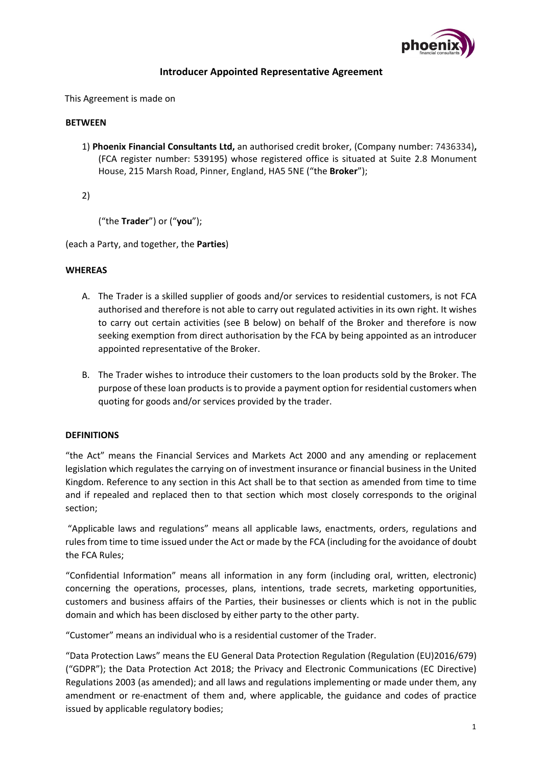

# **Introducer Appointed Representative Agreement**

This Agreement is made on

## **BETWEEN**

1) **Phoenix Financial Consultants Ltd,** an authorised credit broker, (Company number: 7436334)**,** (FCA register number: 539195) whose registered office is situated at Suite 2.8 Monument House, 215 Marsh Road, Pinner, England, HA5 5NE ("the **Broker**");

2)

("the **Trader**") or ("**you**");

(each a Party, and together, the **Parties**)

## **WHEREAS**

- A. The Trader is a skilled supplier of goods and/or services to residential customers, is not FCA authorised and therefore is not able to carry out regulated activities in its own right. It wishes to carry out certain activities (see B below) on behalf of the Broker and therefore is now seeking exemption from direct authorisation by the FCA by being appointed as an introducer appointed representative of the Broker.
- B. The Trader wishes to introduce their customers to the loan products sold by the Broker. The purpose of these loan products is to provide a payment option for residential customers when quoting for goods and/or services provided by the trader.

# **DEFINITIONS**

"the Act" means the Financial Services and Markets Act 2000 and any amending or replacement legislation which regulates the carrying on of investment insurance or financial business in the United Kingdom. Reference to any section in this Act shall be to that section as amended from time to time and if repealed and replaced then to that section which most closely corresponds to the original section;

"Applicable laws and regulations" means all applicable laws, enactments, orders, regulations and rules from time to time issued under the Act or made by the FCA (including for the avoidance of doubt the FCA Rules;

"Confidential Information" means all information in any form (including oral, written, electronic) concerning the operations, processes, plans, intentions, trade secrets, marketing opportunities, customers and business affairs of the Parties, their businesses or clients which is not in the public domain and which has been disclosed by either party to the other party.

"Customer" means an individual who is a residential customer of the Trader.

"Data Protection Laws" means the EU General Data Protection Regulation (Regulation (EU)2016/679) ("GDPR"); the Data Protection Act 2018; the Privacy and Electronic Communications (EC Directive) Regulations 2003 (as amended); and all laws and regulations implementing or made under them, any amendment or re-enactment of them and, where applicable, the guidance and codes of practice issued by applicable regulatory bodies;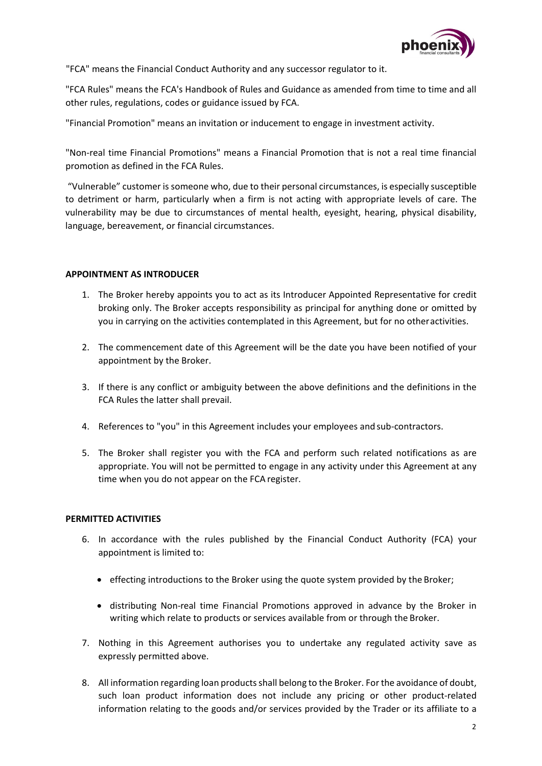

"FCA" means the Financial Conduct Authority and any successor regulator to it.

"FCA Rules" means the FCA's Handbook of Rules and Guidance as amended from time to time and all other rules, regulations, codes or guidance issued by FCA.

"Financial Promotion" means an invitation or inducement to engage in investment activity.

"Non-real time Financial Promotions" means a Financial Promotion that is not a real time financial promotion as defined in the FCA Rules.

"Vulnerable" customer is someone who, due to their personal circumstances, is especially susceptible to detriment or harm, particularly when a firm is not acting with appropriate levels of care. The vulnerability may be due to circumstances of mental health, eyesight, hearing, physical disability, language, bereavement, or financial circumstances.

### **APPOINTMENT AS INTRODUCER**

- 1. The Broker hereby appoints you to act as its Introducer Appointed Representative for credit broking only. The Broker accepts responsibility as principal for anything done or omitted by you in carrying on the activities contemplated in this Agreement, but for no other activities.
- 2. The commencement date of this Agreement will be the date you have been notified of your appointment by the Broker.
- 3. If there is any conflict or ambiguity between the above definitions and the definitions in the FCA Rules the latter shall prevail.
- 4. References to "you" in this Agreement includes your employees and sub-contractors.
- 5. The Broker shall register you with the FCA and perform such related notifications as are appropriate. You will not be permitted to engage in any activity under this Agreement at any time when you do not appear on the FCA register.

### **PERMITTED ACTIVITIES**

- 6. In accordance with the rules published by the Financial Conduct Authority (FCA) your appointment is limited to:
	- effecting introductions to the Broker using the quote system provided by the Broker;
	- distributing Non-real time Financial Promotions approved in advance by the Broker in writing which relate to products or services available from or through the Broker.
- 7. Nothing in this Agreement authorises you to undertake any regulated activity save as expressly permitted above.
- 8. All information regarding loan products shall belong to the Broker. For the avoidance of doubt, such loan product information does not include any pricing or other product-related information relating to the goods and/or services provided by the Trader or its affiliate to a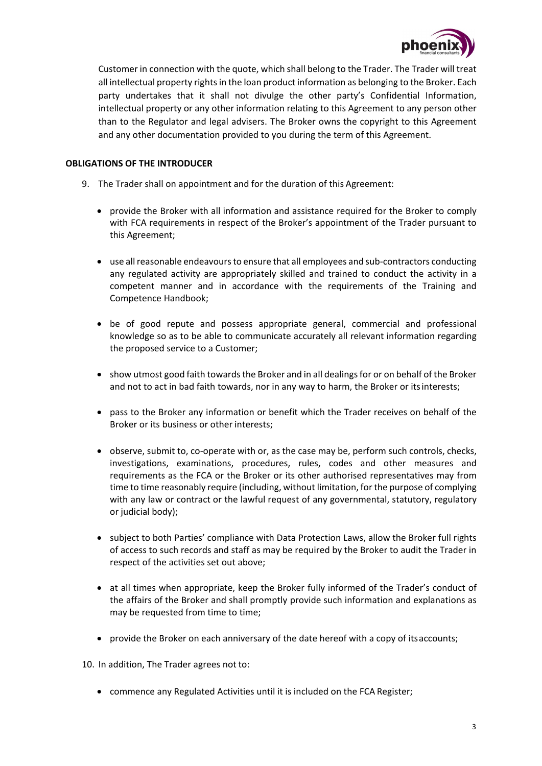

Customer in connection with the quote, which shall belong to the Trader. The Trader will treat all intellectual property rights in the loan product information as belonging to the Broker. Each party undertakes that it shall not divulge the other party's Confidential Information, intellectual property or any other information relating to this Agreement to any person other than to the Regulator and legal advisers. The Broker owns the copyright to this Agreement and any other documentation provided to you during the term of this Agreement.

### **OBLIGATIONS OF THE INTRODUCER**

- 9. The Trader shall on appointment and for the duration of this Agreement:
	- provide the Broker with all information and assistance required for the Broker to comply with FCA requirements in respect of the Broker's appointment of the Trader pursuant to this Agreement;
	- use all reasonable endeavours to ensure that all employees and sub-contractors conducting any regulated activity are appropriately skilled and trained to conduct the activity in a competent manner and in accordance with the requirements of the Training and Competence Handbook;
	- be of good repute and possess appropriate general, commercial and professional knowledge so as to be able to communicate accurately all relevant information regarding the proposed service to a Customer;
	- show utmost good faith towards the Broker and in all dealings for or on behalf of the Broker and not to act in bad faith towards, nor in any way to harm, the Broker or its interests;
	- pass to the Broker any information or benefit which the Trader receives on behalf of the Broker or its business or other interests;
	- observe, submit to, co-operate with or, as the case may be, perform such controls, checks, investigations, examinations, procedures, rules, codes and other measures and requirements as the FCA or the Broker or its other authorised representatives may from time to time reasonably require (including, without limitation, for the purpose of complying with any law or contract or the lawful request of any governmental, statutory, regulatory or judicial body);
	- subject to both Parties' compliance with Data Protection Laws, allow the Broker full rights of access to such records and staff as may be required by the Broker to audit the Trader in respect of the activities set out above;
	- at all times when appropriate, keep the Broker fully informed of the Trader's conduct of the affairs of the Broker and shall promptly provide such information and explanations as may be requested from time to time;
	- provide the Broker on each anniversary of the date hereof with a copy of its accounts;

10. In addition, The Trader agrees not to:

• commence any Regulated Activities until it is included on the FCA Register;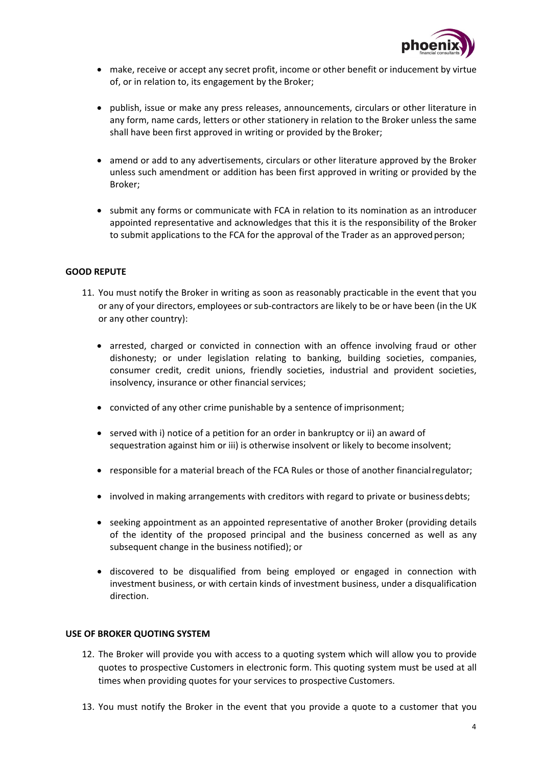

- make, receive or accept any secret profit, income or other benefit or inducement by virtue of, or in relation to, its engagement by the Broker;
- publish, issue or make any press releases, announcements, circulars or other literature in any form, name cards, letters or other stationery in relation to the Broker unless the same shall have been first approved in writing or provided by the Broker;
- amend or add to any advertisements, circulars or other literature approved by the Broker unless such amendment or addition has been first approved in writing or provided by the Broker;
- submit any forms or communicate with FCA in relation to its nomination as an introducer appointed representative and acknowledges that this it is the responsibility of the Broker to submit applications to the FCA for the approval of the Trader as an approvedperson;

## **GOOD REPUTE**

- 11. You must notify the Broker in writing as soon as reasonably practicable in the event that you or any of your directors, employees orsub-contractors are likely to be or have been (in the UK or any other country):
	- arrested, charged or convicted in connection with an offence involving fraud or other dishonesty; or under legislation relating to banking, building societies, companies, consumer credit, credit unions, friendly societies, industrial and provident societies, insolvency, insurance or other financial services;
	- convicted of any other crime punishable by a sentence of imprisonment;
	- served with i) notice of a petition for an order in bankruptcy or ii) an award of sequestration against him or iii) is otherwise insolvent or likely to become insolvent;
	- responsible for a material breach of the FCA Rules or those of another financialregulator;
	- involved in making arrangements with creditors with regard to private or business debts;
	- seeking appointment as an appointed representative of another Broker (providing details of the identity of the proposed principal and the business concerned as well as any subsequent change in the business notified); or
	- discovered to be disqualified from being employed or engaged in connection with investment business, or with certain kinds of investment business, under a disqualification direction.

### **USE OF BROKER QUOTING SYSTEM**

- 12. The Broker will provide you with access to a quoting system which will allow you to provide quotes to prospective Customers in electronic form. This quoting system must be used at all times when providing quotes for your services to prospective Customers.
- 13. You must notify the Broker in the event that you provide a quote to a customer that you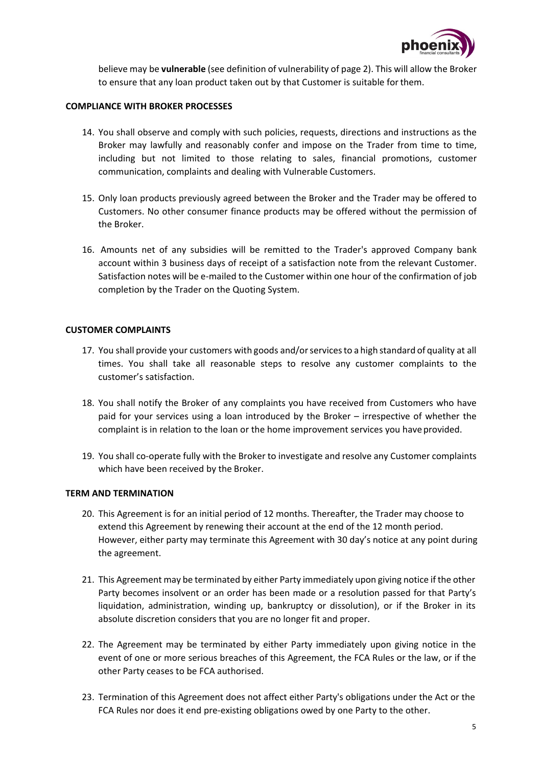

believe may be **vulnerable** (see definition of vulnerability of page 2). This will allow the Broker to ensure that any loan product taken out by that Customer is suitable forthem.

## **COMPLIANCE WITH BROKER PROCESSES**

- 14. You shall observe and comply with such policies, requests, directions and instructions as the Broker may lawfully and reasonably confer and impose on the Trader from time to time, including but not limited to those relating to sales, financial promotions, customer communication, complaints and dealing with Vulnerable Customers.
- 15. Only loan products previously agreed between the Broker and the Trader may be offered to Customers. No other consumer finance products may be offered without the permission of the Broker.
- 16. Amounts net of any subsidies will be remitted to the Trader's approved Company bank account within 3 business days of receipt of a satisfaction note from the relevant Customer. Satisfaction notes will be e-mailed to the Customer within one hour of the confirmation of job completion by the Trader on the Quoting System.

## **CUSTOMER COMPLAINTS**

- 17. You shall provide your customers with goods and/or services to a high standard of quality at all times. You shall take all reasonable steps to resolve any customer complaints to the customer's satisfaction.
- 18. You shall notify the Broker of any complaints you have received from Customers who have paid for your services using a loan introduced by the Broker – irrespective of whether the complaint is in relation to the loan or the home improvement services you have provided.
- 19. You shall co-operate fully with the Broker to investigate and resolve any Customer complaints which have been received by the Broker.

### **TERM AND TERMINATION**

- 20. This Agreement is for an initial period of 12 months. Thereafter, the Trader may choose to extend this Agreement by renewing their account at the end of the 12 month period. However, either party may terminate this Agreement with 30 day's notice at any point during the agreement.
- 21. This Agreement may be terminated by either Party immediately upon giving notice if the other Party becomes insolvent or an order has been made or a resolution passed for that Party's liquidation, administration, winding up, bankruptcy or dissolution), or if the Broker in its absolute discretion considers that you are no longer fit and proper.
- 22. The Agreement may be terminated by either Party immediately upon giving notice in the event of one or more serious breaches of this Agreement, the FCA Rules or the law, or if the other Party ceases to be FCA authorised.
- 23. Termination of this Agreement does not affect either Party's obligations under the Act or the FCA Rules nor does it end pre-existing obligations owed by one Party to the other.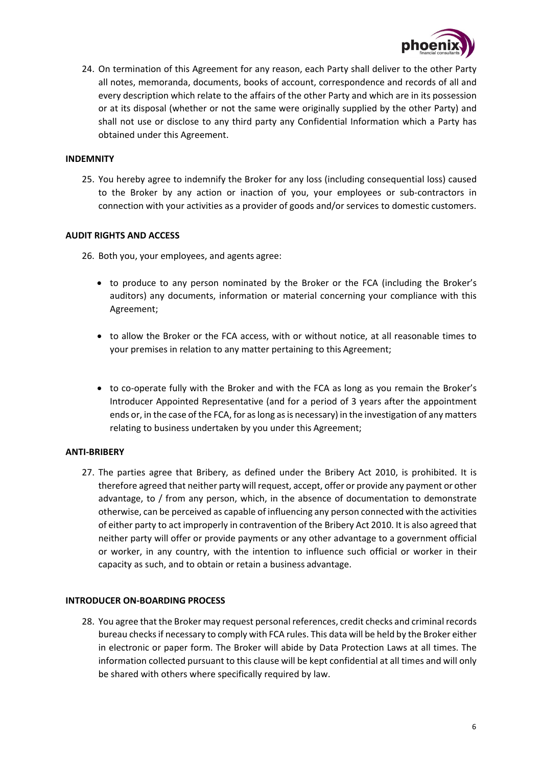

24. On termination of this Agreement for any reason, each Party shall deliver to the other Party all notes, memoranda, documents, books of account, correspondence and records of all and every description which relate to the affairs of the other Party and which are in its possession or at its disposal (whether or not the same were originally supplied by the other Party) and shall not use or disclose to any third party any Confidential Information which a Party has obtained under this Agreement.

#### **INDEMNITY**

25. You hereby agree to indemnify the Broker for any loss (including consequential loss) caused to the Broker by any action or inaction of you, your employees or sub-contractors in connection with your activities as a provider of goods and/or services to domestic customers.

#### **AUDIT RIGHTS AND ACCESS**

26. Both you, your employees, and agents agree:

- to produce to any person nominated by the Broker or the FCA (including the Broker's auditors) any documents, information or material concerning your compliance with this Agreement;
- to allow the Broker or the FCA access, with or without notice, at all reasonable times to your premises in relation to any matter pertaining to this Agreement;
- to co-operate fully with the Broker and with the FCA as long as you remain the Broker's Introducer Appointed Representative (and for a period of 3 years after the appointment ends or, in the case of the FCA, for as long as is necessary) in the investigation of any matters relating to business undertaken by you under this Agreement;

### **ANTI-BRIBERY**

27. The parties agree that Bribery, as defined under the Bribery Act 2010, is prohibited. It is therefore agreed that neither party will request, accept, offer or provide any payment or other advantage, to / from any person, which, in the absence of documentation to demonstrate otherwise, can be perceived as capable of influencing any person connected with the activities of either party to act improperly in contravention of the Bribery Act 2010. It is also agreed that neither party will offer or provide payments or any other advantage to a government official or worker, in any country, with the intention to influence such official or worker in their capacity as such, and to obtain or retain a business advantage.

#### **INTRODUCER ON-BOARDING PROCESS**

28. You agree that the Broker may request personal references, credit checks and criminal records bureau checksif necessary to comply with FCA rules. This data will be held by the Broker either in electronic or paper form. The Broker will abide by Data Protection Laws at all times. The information collected pursuant to this clause will be kept confidential at all times and will only be shared with others where specifically required by law.